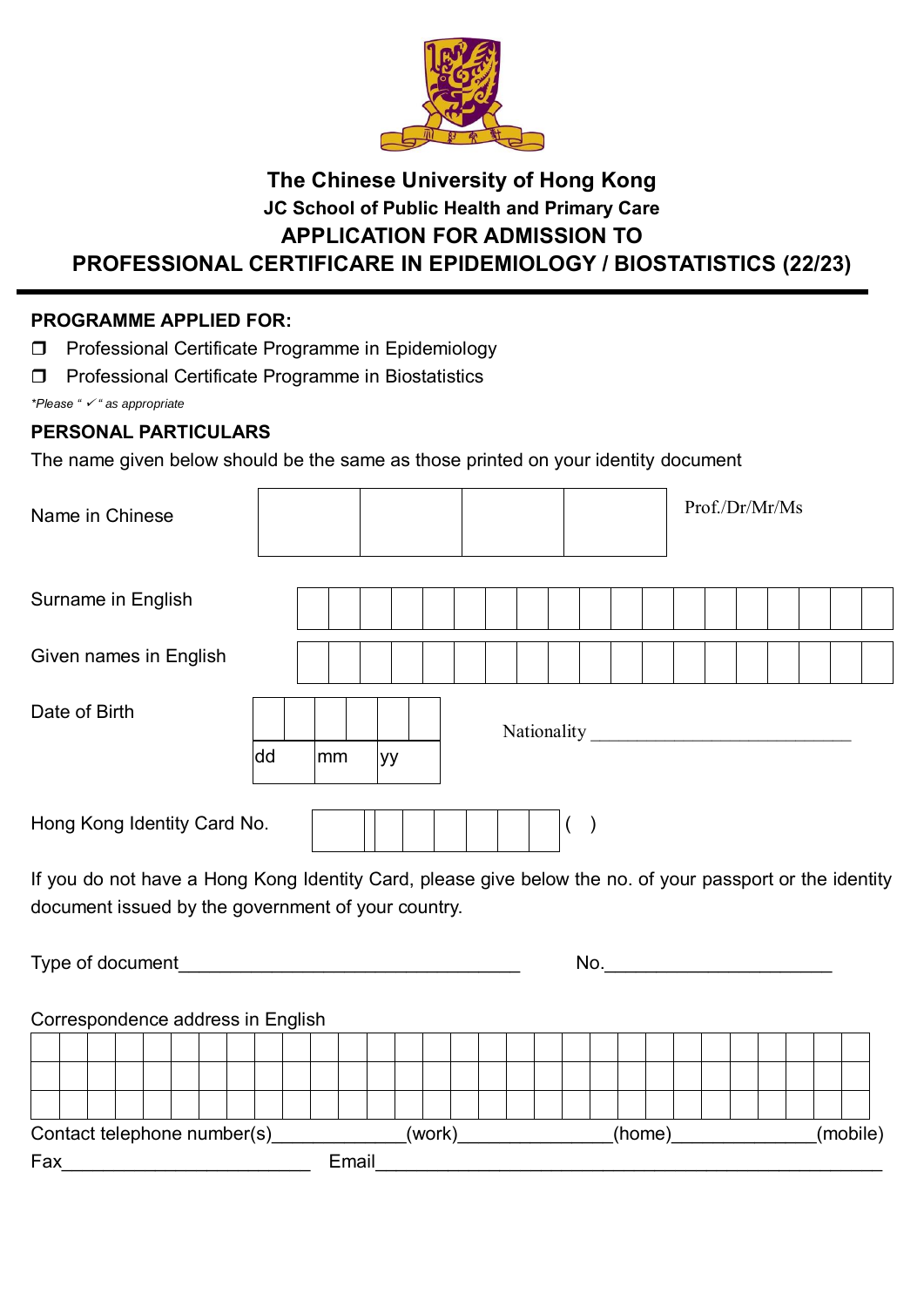

# **The Chinese University of Hong Kong JC School of Public Health and Primary Care APPLICATION FOR ADMISSION TO PROFESSIONAL CERTIFICARE IN EPIDEMIOLOGY / BIOSTATISTICS (22/23)**

# **PROGRAMME APPLIED FOR:**

**Professional Certificate Programme in Epidemiology** 

 $\Box$ 

**Professional Certificate Programme in Biostatistics** 

*\*Please " " as appropriate*

# **PERSONAL PARTICULARS**

The name given below should be the same as those printed on your identity document

| Name in Chinese                                                                                          |          |       |        |  |         |        |  | Prof./Dr/Mr/Ms             |  |          |
|----------------------------------------------------------------------------------------------------------|----------|-------|--------|--|---------|--------|--|----------------------------|--|----------|
| Surname in English                                                                                       |          |       |        |  |         |        |  |                            |  |          |
| Given names in English                                                                                   |          |       |        |  |         |        |  |                            |  |          |
| Date of Birth                                                                                            | dd<br>mm | yу    |        |  |         |        |  |                            |  |          |
| Hong Kong Identity Card No.                                                                              |          |       |        |  | $($ $)$ |        |  |                            |  |          |
| If you do not have a Hong Kong Identity Card, please give below the no. of your passport or the identity |          |       |        |  |         |        |  |                            |  |          |
| document issued by the government of your country.                                                       |          |       |        |  |         |        |  |                            |  |          |
|                                                                                                          |          |       |        |  |         |        |  | No. <u>_______________</u> |  |          |
| Correspondence address in English                                                                        |          |       |        |  |         |        |  |                            |  |          |
|                                                                                                          |          |       |        |  |         |        |  |                            |  |          |
|                                                                                                          |          |       |        |  |         |        |  |                            |  |          |
|                                                                                                          |          |       |        |  |         |        |  |                            |  |          |
| Contact telephone number(s)<br>Fax                                                                       |          | Email | (work) |  |         | (home) |  |                            |  | (mobile) |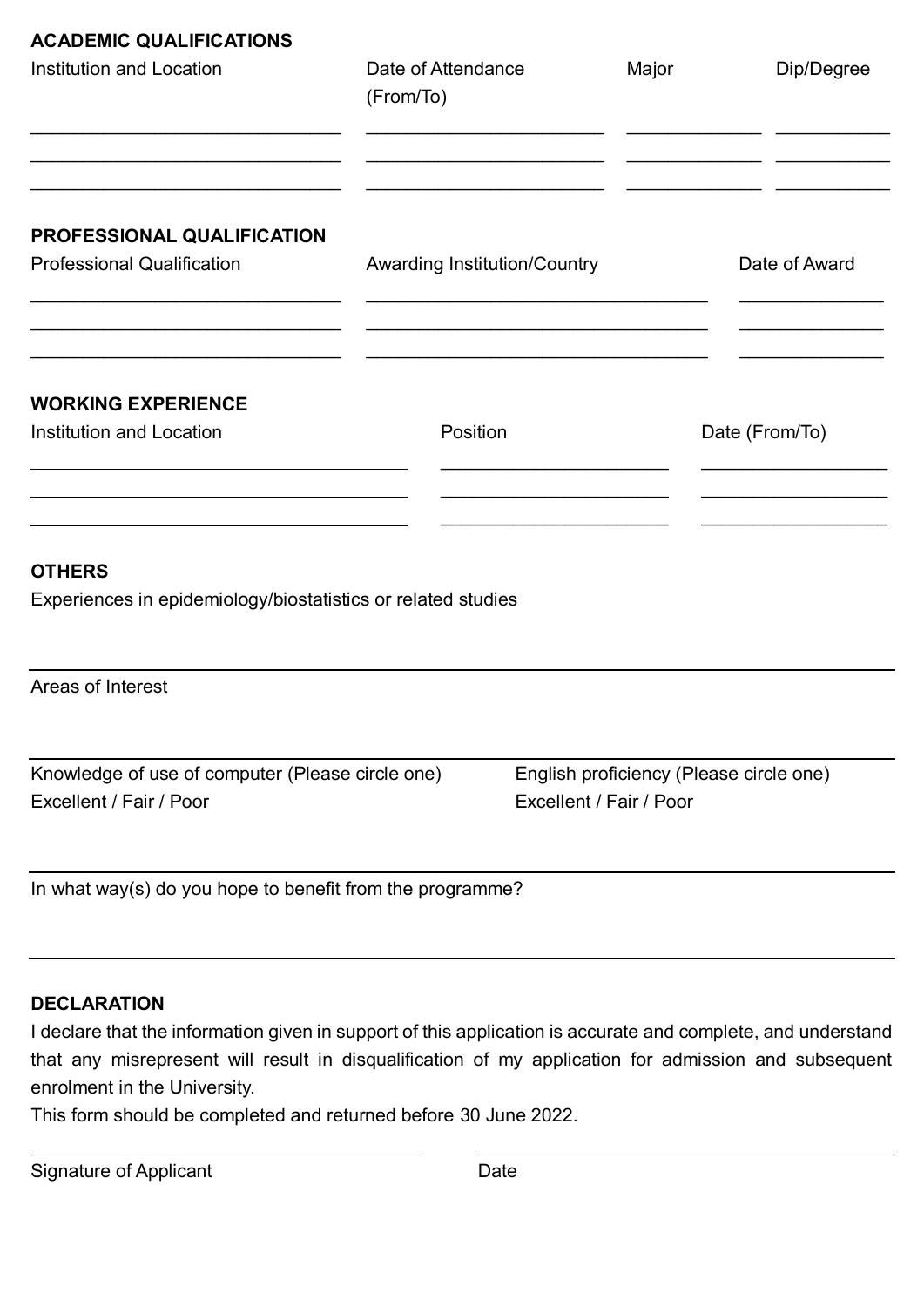| <b>ACADEMIC QUALIFICATIONS</b><br><b>Institution and Location</b>             | Date of Attendance<br>(From/To)     | Major                                                              | Dip/Degree     |  |  |
|-------------------------------------------------------------------------------|-------------------------------------|--------------------------------------------------------------------|----------------|--|--|
| PROFESSIONAL QUALIFICATION<br><b>Professional Qualification</b>               | <b>Awarding Institution/Country</b> |                                                                    | Date of Award  |  |  |
| <b>WORKING EXPERIENCE</b>                                                     |                                     |                                                                    |                |  |  |
| <b>Institution and Location</b>                                               | Position                            |                                                                    | Date (From/To) |  |  |
| <b>OTHERS</b><br>Experiences in epidemiology/biostatistics or related studies |                                     |                                                                    |                |  |  |
| Areas of Interest                                                             |                                     |                                                                    |                |  |  |
| Knowledge of use of computer (Please circle one)<br>Excellent / Fair / Poor   |                                     | English proficiency (Please circle one)<br>Excellent / Fair / Poor |                |  |  |
| In what way(s) do you hope to benefit from the programme?                     |                                     |                                                                    |                |  |  |

# **DECLARATION**

I declare that the information given in support of this application is accurate and complete, and understand that any misrepresent will result in disqualification of my application for admission and subsequent enrolment in the University.

This form should be completed and returned before 30 June 2022.

| Signature of Applicant | Date |
|------------------------|------|
|                        |      |